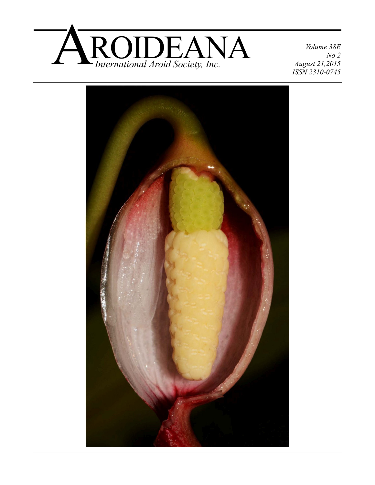

*Volume 38E No 2 August 21,2015 ISSN 2310-0745*

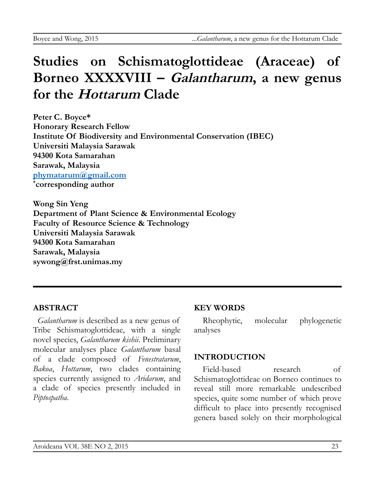# **Studies on Schismatoglottideae (Araceae) of Borneo XXXXVIII – Galantharum, a new genus for the Hottarum Clade**

**Peter C. Boyce\* Honorary Research Fellow Institute Of Biodiversity and Environmental Conservation (IBEC) Universiti Malaysia Sarawak 94300 Kota Samarahan Sarawak, Malaysia [phymatarum@gmail.com](mailto:phymatarum@gmail.com) \* corresponding author**

**Wong Sin Yeng Department of Plant Science & Environmental Ecology Faculty of Resource Science & Technology Universiti Malaysia Sarawak 94300 Kota Samarahan Sarawak, Malaysia sywong@frst.unimas.my**

## **ABSTRACT**

*Galantharum* is described as a new genus of Tribe Schismatoglottideae, with a single novel species, *Galantharum kishii*. Preliminary molecular analyses place *Galantharum* basal of a clade composed of *Fenestratarum*, *Bakoa*, *Hottarum*, two clades containing species currently assigned to *Aridarum*, and a clade of species presently included in *Piptospatha*.

#### **KEY WORDS**

Rheophytic, molecular phylogenetic analyses

## **INTRODUCTION**

Field-based research of Schismatoglottideae on Borneo continues to reveal still more remarkable undescribed species, quite some number of which prove difficult to place into presently recognised genera based solely on their morphological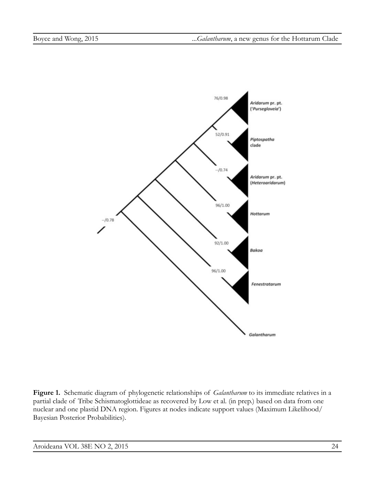

**Figure 1.** Schematic diagram of phylogenetic relationships of *Galantharum* to its immediate relatives in a partial clade of Tribe Schismatoglottideae as recovered by Low et al. (in prep.) based on data from one nuclear and one plastid DNA region. Figures at nodes indicate support values (Maximum Likelihood/ Bayesian Posterior Probabilities).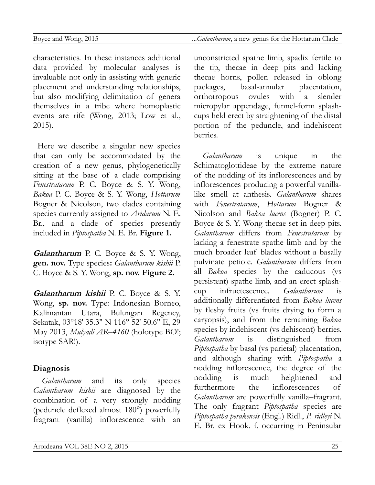characteristics. In these instances additional data provided by molecular analyses is invaluable not only in assisting with generic placement and understanding relationships, but also modifying delimitation of genera themselves in a tribe where homoplastic events are rife (Wong, 2013; Low et al., 2015).

Here we describe a singular new species that can only be accommodated by the creation of a new genus, phylogenetically sitting at the base of a clade comprising *Fenestratarum* P. C. Boyce & S. Y. Wong, *Bakoa* P. C. Boyce & S. Y. Wong, *Hottarum* Bogner & Nicolson, two clades containing species currently assigned to *Aridarum* N. E. Br., and a clade of species presently included in *Piptospatha* N. E. Br. **Figure 1.**

**Galantharum** P. C. Boyce & S. Y. Wong, **gen. nov.** Type species**:** *Galantharum kishii* P. C. Boyce & S. Y. Wong, **sp. nov. Figure 2.**

**Galantharum kishii** P. C. Boyce & S. Y. Wong, **sp. nov.** Type: Indonesian Borneo, Kalimantan Utara, Bulungan Regency, Sekatak, 03°18′ 35.3″ N 116° 52′ 50.6″ E, 29 May 2013, *Mulyadi AR–4160* (holotype BO!; isotype SAR!).

#### **Diagnosis**

*Galantharum* and its only species *Galantharum kishii* are diagnosed by the combination of a very strongly nodding (peduncle deflexed almost 180°) powerfully fragrant (vanilla) inflorescence with an unconstricted spathe limb, spadix fertile to the tip, thecae in deep pits and lacking thecae horns, pollen released in oblong packages, basal-annular placentation, orthotropous ovules with a slender micropylar appendage, funnel-form splashcups held erect by straightening of the distal portion of the peduncle, and indehiscent berries.

*Galantharum* is unique in the Schimatoglottideae by the extreme nature of the nodding of its inflorescences and by inflorescences producing a powerful vanillalike smell at anthesis. *Galantharum* shares with *Fenestratarum*, *Hottarum* Bogner & Nicolson and *Bakoa lucens* (Bogner) P. C. Boyce & S. Y. Wong thecae set in deep pits. *Galantharum* differs from *Fenestratarum* by lacking a fenestrate spathe limb and by the much broader leaf blades without a basally pulvinate petiole. *Galantharum* differs from all *Bakoa* species by the caducous (vs persistent) spathe limb, and an erect splashcup infructescence. *Galantharum* is additionally differentiated from *Bakoa lucens* by fleshy fruits (vs fruits drying to form a caryopsis), and from the remaining *Bakoa* species by indehiscent (vs dehiscent) berries. *Galantharum* is distinguished from *Piptospatha* by basal (vs parietal) placentation, and although sharing with *Piptospatha* a nodding inflorescence, the degree of the nodding is much heightened and furthermore the inflorescences of *Galantharum* are powerfully vanilla–fragrant. The only fragrant *Piptospatha* species are *Piptospatha perakensis* (Engl.) Ridl., *P. ridleyi* N. E. Br. ex Hook. f. occurring in Peninsular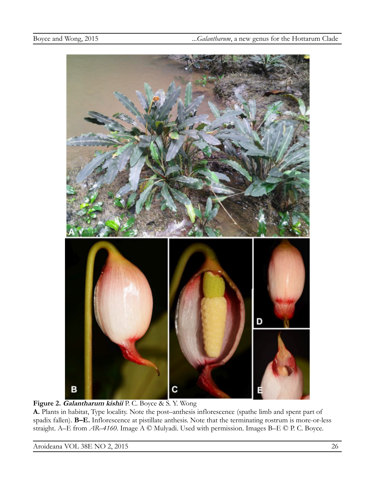

**Figure 2. Galantharum kishii** P. C. Boyce & S. Y. Wong

**A.** Plants in habitat, Type locality. Note the post–anthesis inflorescence (spathe limb and spent part of spadix fallen). **B–E.** Inflorescence at pistillate anthesis. Note that the terminating rostrum is more-or-less straight. A–E from *AR–4160*. Image A © Mulyadi. Used with permission. Images B–E © P. C. Boyce.

Aroideana VOL 38E NO 2, 2015 26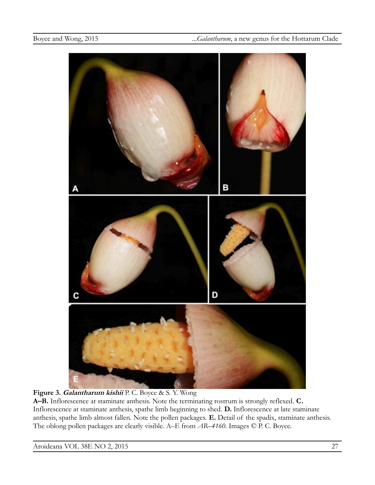

#### **Figure 3. Galantharum kishii** P. C. Boyce & S. Y. Wong

**A–B.** Inflorescence at staminate anthesis. Note the terminating rostrum is strongly reflexed. **C.** Inflorescence at staminate anthesis, spathe limb beginning to shed. **D.** Inflorescence at late staminate anthesis, spathe limb almost fallen. Note the pollen packages. **E.** Detail of the spadix, staminate anthesis. The oblong pollen packages are clearly visible. A–E from *AR–4160*. Images © P. C. Boyce.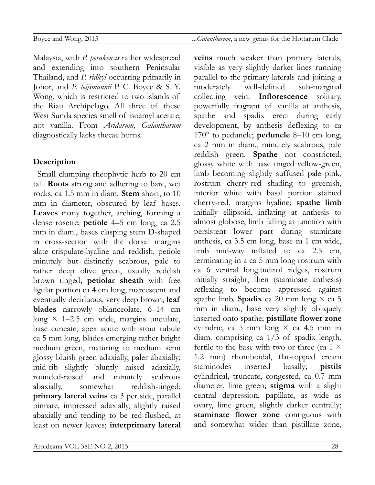Malaysia, with *P. perakensis* rather widespread and extending into southern Peninsular Thailand, and *P. ridleyi* occurring primarily in Johor, and *P. teijsmannii* P. C. Boyce & S. Y. Wong, which is restricted to two islands of the Riau Archipelago. All three of these West Sunda species smell of isoamyl acetate, not vanilla. From *Aridarum*, *Galantharum* diagnostically lacks thecae horns.

#### **Description**

Small clumping rheophytic herb to 20 cm tall. **Roots** strong and adhering to bare, wet rocks, ca 1.5 mm in diam. **Stem** short, to 10 mm in diameter, obscured by leaf bases. **Leaves** many together, arching, forming a dense rosette; **petiole** 4–5 cm long, ca 2.5 mm in diam., bases clasping stem D-shaped in cross-section with the dorsal margins alate crispulate-hyaline and reddish, petiole minutely but distinctly scabrous, pale to rather deep olive green, usually reddish brown tinged; **petiolar sheath** with free ligular portion ca 4 cm long, marcescent and eventually deciduous, very deep brown; **leaf blades** narrowly oblanceolate, 6–14 cm long  $\times$  1–2.5 cm wide, margins undulate, base cuneate, apex acute with stout tubule ca 5 mm long, blades emerging rather bright medium green, maturing to medium semi glossy bluish green adaxially, paler abaxially; mid-rib slightly bluntly raised adaxially, rounded-raised and minutely scabrous abaxially, somewhat reddish-tinged; **primary lateral veins** ca 3 per side, parallel pinnate, impressed adaxially, slightly raised abaxially and tending to be red-flushed, at least on newer leaves; **interprimary lateral** **veins** much weaker than primary laterals, visible as very slightly darker lines running parallel to the primary laterals and joining a moderately well-defined sub-marginal collecting vein. **Inflorescence** solitary, powerfully fragrant of vanilla at anthesis, spathe and spadix erect during early development, by anthesis deflexing to ca 170° to peduncle; **peduncle** 8–10 cm long, ca 2 mm in diam., minutely scabrous, pale reddish green. **Spathe** not constricted, glossy white with base tinged yellow-green, limb becoming slightly suffused pale pink, rostrum cherry-red shading to greenish, interior white with basal portion stained cherry-red, margins hyaline; **spathe limb** initially ellipsoid, inflating at anthesis to almost globose, limb falling at junction with persistent lower part during staminate anthesis, ca 3.5 cm long, base ca 1 cm wide, limb mid-way inflated to ca 2.5 cm, terminating in a ca 5 mm long rostrum with ca 6 ventral longitudinal ridges, rostrum initially straight, then (staminate anthesis) reflexing to become appressed against spathe limb. **Spadix** ca 20 mm long  $\times$  ca 5 mm in diam., base very slightly obliquely inserted onto spathe; **pistillate flower zone** cylindric, ca 5 mm long  $\times$  ca 4.5 mm in diam. comprising ca 1/3 of spadix length, fertile to the base with two or three (ca 1  $\times$ 1.2 mm) rhomboidal, flat-topped cream staminodes inserted basally; **pistils** cylindrical, truncate, congested, ca 0.7 mm diameter, lime green; **stigma** with a slight central depression, papillate, as wide as ovary, lime green, slightly darker centrally; **staminate flower zone** contiguous with and somewhat wider than pistillate zone,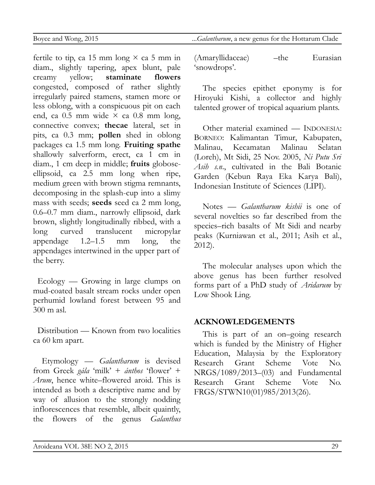fertile to tip, ca 15 mm long  $\times$  ca 5 mm in diam., slightly tapering, apex blunt, pale creamy yellow; **staminate flowers** congested, composed of rather slightly irregularly paired stamens, stamen more or less oblong, with a conspicuous pit on each end, ca 0.5 mm wide × ca 0.8 mm long, connective convex; **thecae** lateral, set in pits, ca 0.3 mm; **pollen** shed in oblong packages ca 1.5 mm long. **Fruiting spathe** shallowly salverform, erect, ca 1 cm in diam., 1 cm deep in middle; **fruits** globoseellipsoid, ca 2.5 mm long when ripe, medium green with brown stigma remnants, decomposing in the splash-cup into a slimy mass with seeds; **seeds** seed ca 2 mm long, 0.6–0.7 mm diam., narrowly ellipsoid, dark brown, slightly longitudinally ribbed, with a long curved translucent micropylar appendage 1.2–1.5 mm long, the appendages intertwined in the upper part of the berry.

Ecology — Growing in large clumps on mud-coated basalt stream rocks under open perhumid lowland forest between 95 and 300 m asl.

Distribution — Known from two localities ca 60 km apart.

Etymology — *Galantharum* is devised from Greek *gála* 'milk' + *ánthos* 'flower' + *Arum*, hence white–flowered aroid. This is intended as both a descriptive name and by way of allusion to the strongly nodding inflorescences that resemble, albeit quaintly, the flowers of the genus *Galanthus*

Boyce and Wong, 2015 ...*Galantharum*, a new genus for the Hottarum Clade

(Amaryllidaceae) – the Eurasian 'snowdrops'.

The species epithet eponymy is for Hiroyuki Kishi, a collector and highly talented grower of tropical aquarium plants.

Other material examined — INDONESIA: BORNEO: Kalimantan Timur, Kabupaten, Malinau, Kecamatan Malinau Selatan (Loreh), Mt Sidi, 25 Nov. 2005, *Ni Putu Sri Asih s.n*., cultivated in the Bali Botanic Garden (Kebun Raya Eka Karya Bali), Indonesian Institute of Sciences (LIPI).

Notes — *Galantharum kishii* is one of several novelties so far described from the species–rich basalts of Mt Sidi and nearby peaks (Kurniawan et al., 2011; Asih et al., 2012).

The molecular analyses upon which the above genus has been further resolved forms part of a PhD study of *Aridarum* by Low Shook Ling.

### **ACKNOWLEDGEMENTS**

This is part of an on–going research which is funded by the Ministry of Higher Education, Malaysia by the Exploratory Research Grant Scheme Vote No. NRGS/1089/2013–(03) and Fundamental Research Grant Scheme Vote No. FRGS/STWN10(01)985/2013(26).